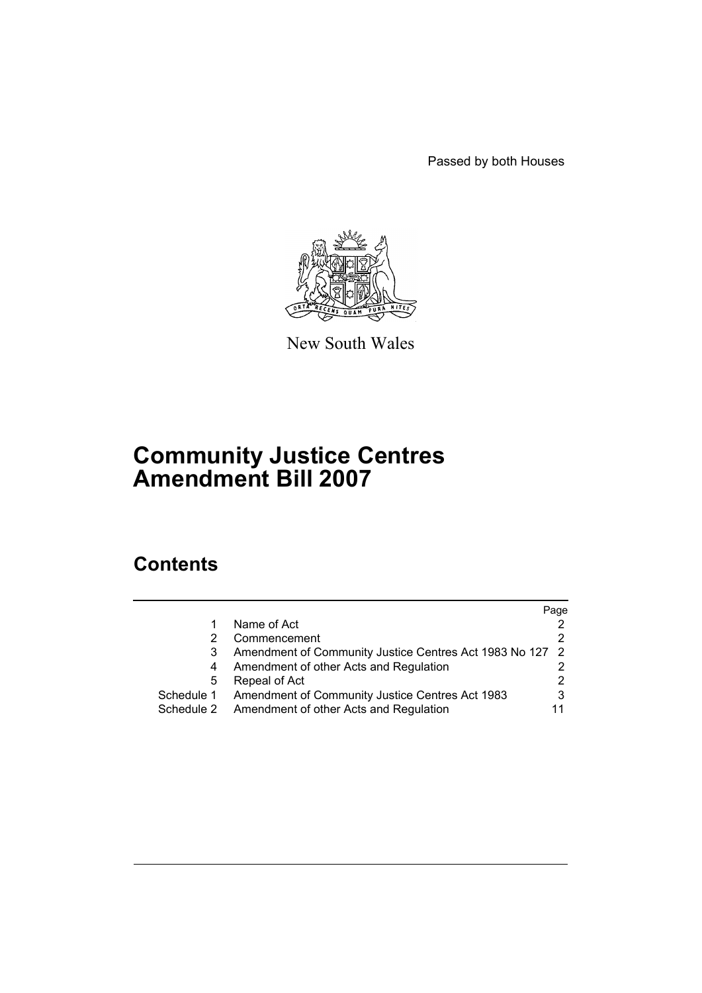Passed by both Houses



New South Wales

# **Community Justice Centres Amendment Bill 2007**

# **Contents**

|            |                                                          | Page |
|------------|----------------------------------------------------------|------|
|            | Name of Act                                              |      |
|            | Commencement                                             |      |
| 3          | Amendment of Community Justice Centres Act 1983 No 127 2 |      |
| 4          | Amendment of other Acts and Regulation                   |      |
| 5          | Repeal of Act                                            | 2    |
| Schedule 1 | Amendment of Community Justice Centres Act 1983          | 3    |
| Schedule 2 | Amendment of other Acts and Regulation                   |      |
|            |                                                          |      |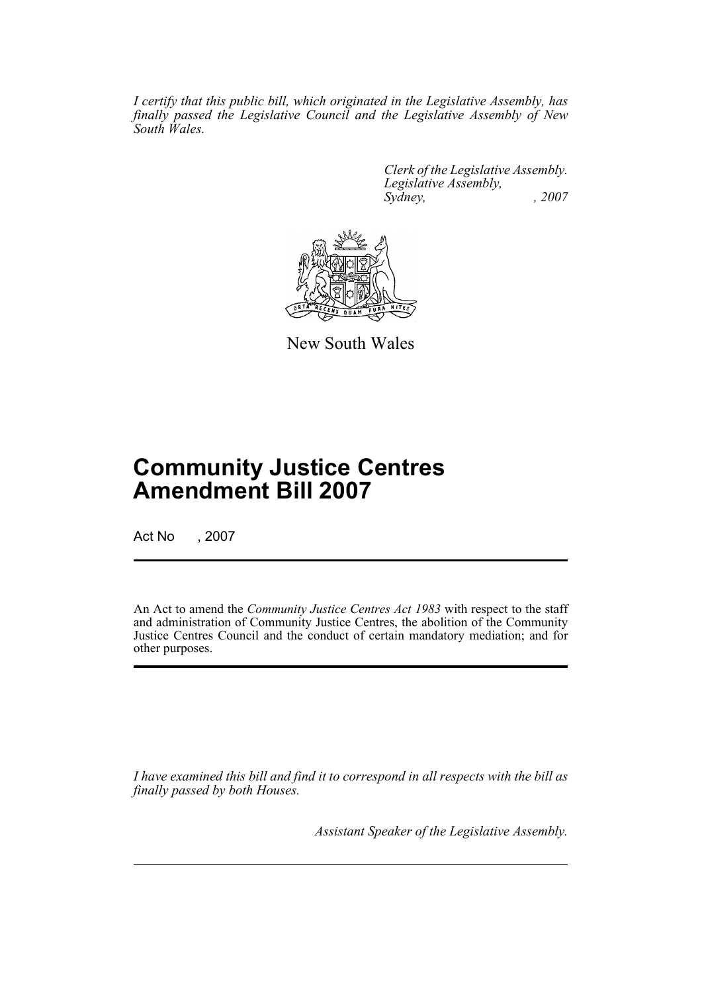*I certify that this public bill, which originated in the Legislative Assembly, has finally passed the Legislative Council and the Legislative Assembly of New South Wales.*

> *Clerk of the Legislative Assembly. Legislative Assembly, Sydney, , 2007*



New South Wales

# **Community Justice Centres Amendment Bill 2007**

Act No , 2007

An Act to amend the *Community Justice Centres Act 1983* with respect to the staff and administration of Community Justice Centres, the abolition of the Community Justice Centres Council and the conduct of certain mandatory mediation; and for other purposes.

*I have examined this bill and find it to correspond in all respects with the bill as finally passed by both Houses.*

*Assistant Speaker of the Legislative Assembly.*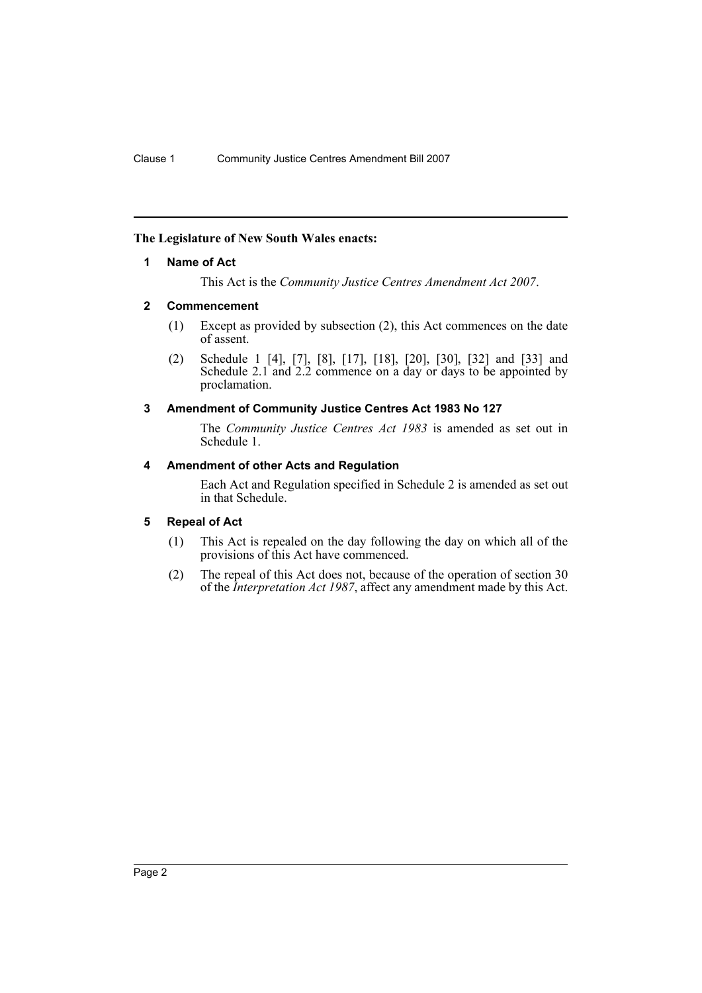# <span id="page-2-0"></span>**The Legislature of New South Wales enacts:**

#### **1 Name of Act**

This Act is the *Community Justice Centres Amendment Act 2007*.

#### <span id="page-2-1"></span>**2 Commencement**

- (1) Except as provided by subsection (2), this Act commences on the date of assent.
- (2) Schedule 1 [4], [7], [8], [17], [18], [20], [30], [32] and [33] and Schedule 2.1 and 2.2 commence on a day or days to be appointed by proclamation.

# <span id="page-2-2"></span>**3 Amendment of Community Justice Centres Act 1983 No 127**

The *Community Justice Centres Act 1983* is amended as set out in Schedule 1.

#### <span id="page-2-3"></span>**4 Amendment of other Acts and Regulation**

Each Act and Regulation specified in Schedule 2 is amended as set out in that Schedule.

# <span id="page-2-4"></span>**5 Repeal of Act**

- (1) This Act is repealed on the day following the day on which all of the provisions of this Act have commenced.
- (2) The repeal of this Act does not, because of the operation of section 30 of the *Interpretation Act 1987*, affect any amendment made by this Act.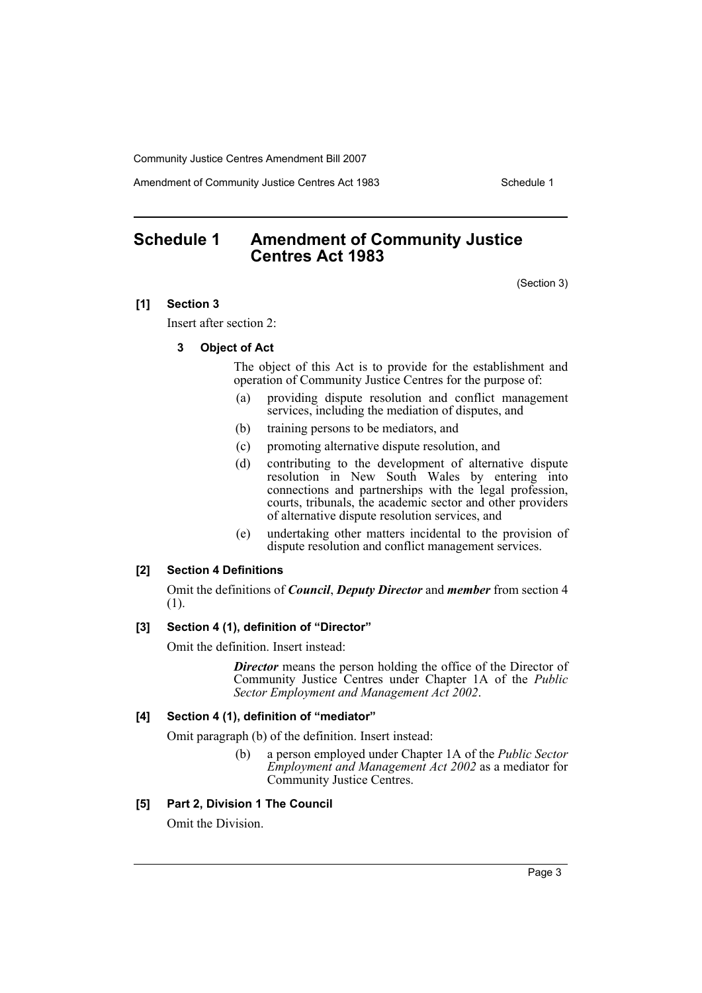Amendment of Community Justice Centres Act 1983 Schedule 1

# <span id="page-3-0"></span>**Schedule 1 Amendment of Community Justice Centres Act 1983**

(Section 3)

### **[1] Section 3**

Insert after section 2:

#### **3 Object of Act**

The object of this Act is to provide for the establishment and operation of Community Justice Centres for the purpose of:

- (a) providing dispute resolution and conflict management services, including the mediation of disputes, and
- (b) training persons to be mediators, and
- (c) promoting alternative dispute resolution, and
- (d) contributing to the development of alternative dispute resolution in New South Wales by entering into connections and partnerships with the legal profession, courts, tribunals, the academic sector and other providers of alternative dispute resolution services, and
- (e) undertaking other matters incidental to the provision of dispute resolution and conflict management services.

#### **[2] Section 4 Definitions**

Omit the definitions of *Council*, *Deputy Director* and *member* from section 4 (1).

#### **[3] Section 4 (1), definition of "Director"**

Omit the definition. Insert instead:

*Director* means the person holding the office of the Director of Community Justice Centres under Chapter 1A of the *Public Sector Employment and Management Act 2002*.

### **[4] Section 4 (1), definition of "mediator"**

Omit paragraph (b) of the definition. Insert instead:

(b) a person employed under Chapter 1A of the *Public Sector Employment and Management Act 2002* as a mediator for Community Justice Centres.

#### **[5] Part 2, Division 1 The Council**

Omit the Division.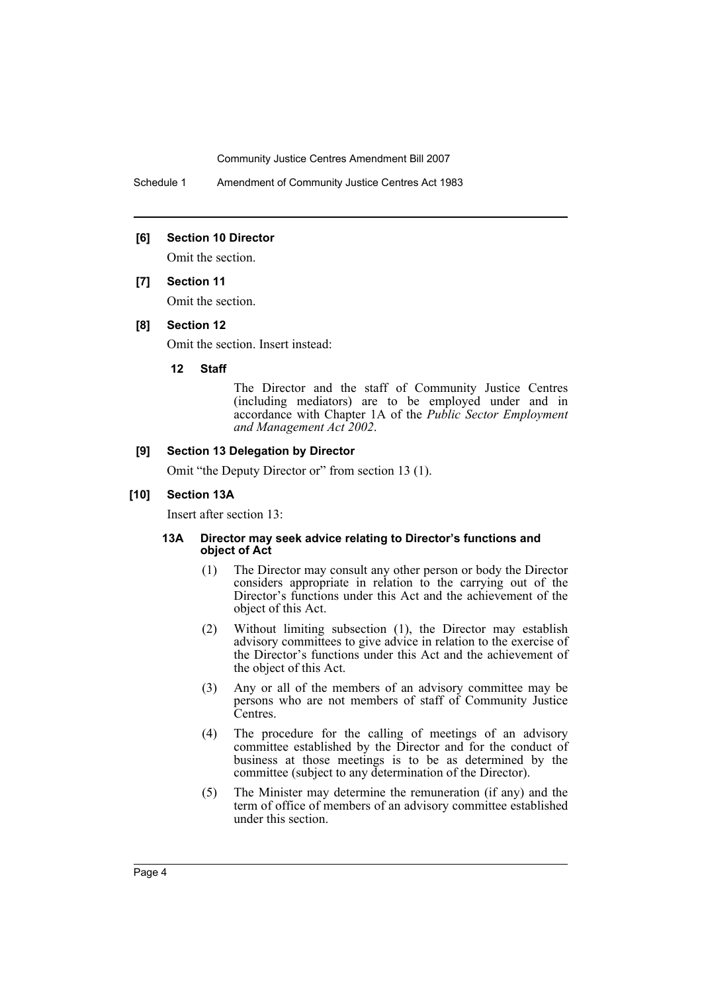Schedule 1 Amendment of Community Justice Centres Act 1983

#### **[6] Section 10 Director**

Omit the section.

#### **[7] Section 11**

Omit the section.

#### **[8] Section 12**

Omit the section. Insert instead:

### **12 Staff**

The Director and the staff of Community Justice Centres (including mediators) are to be employed under and in accordance with Chapter 1A of the *Public Sector Employment and Management Act 2002*.

#### **[9] Section 13 Delegation by Director**

Omit "the Deputy Director or" from section 13 (1).

### **[10] Section 13A**

Insert after section 13:

#### **13A Director may seek advice relating to Director's functions and object of Act**

- (1) The Director may consult any other person or body the Director considers appropriate in relation to the carrying out of the Director's functions under this Act and the achievement of the object of this Act.
- (2) Without limiting subsection (1), the Director may establish advisory committees to give advice in relation to the exercise of the Director's functions under this Act and the achievement of the object of this Act.
- (3) Any or all of the members of an advisory committee may be persons who are not members of staff of Community Justice Centres.
- (4) The procedure for the calling of meetings of an advisory committee established by the Director and for the conduct of business at those meetings is to be as determined by the committee (subject to any determination of the Director).
- (5) The Minister may determine the remuneration (if any) and the term of office of members of an advisory committee established under this section.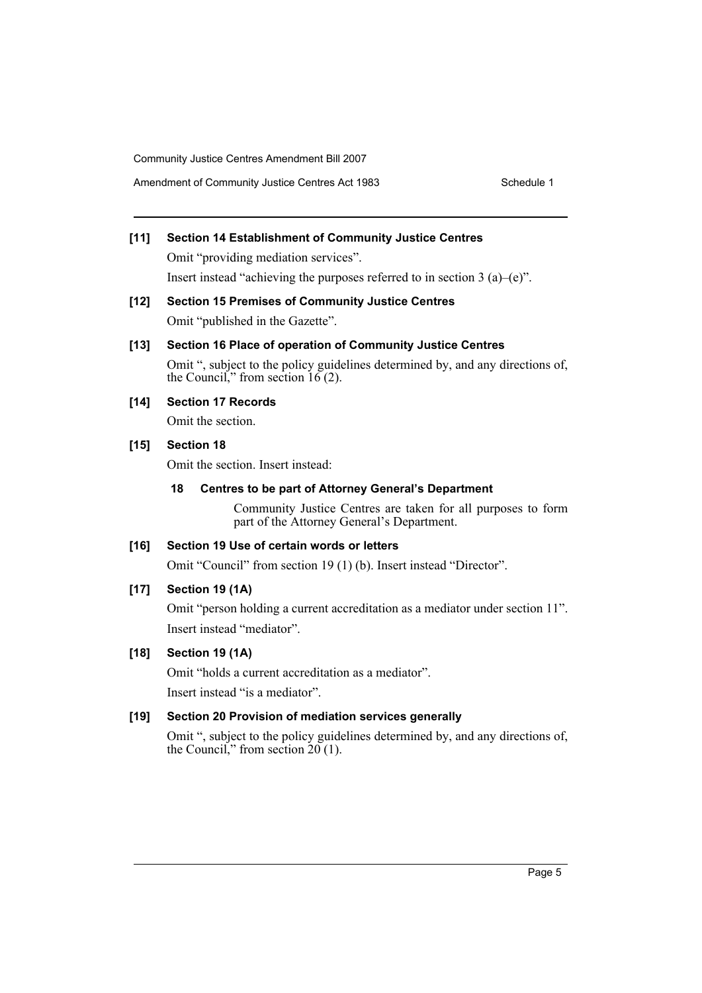Amendment of Community Justice Centres Act 1983 Schedule 1

# **[11] Section 14 Establishment of Community Justice Centres**

Omit "providing mediation services". Insert instead "achieving the purposes referred to in section  $3$  (a)–(e)".

- **[12] Section 15 Premises of Community Justice Centres** Omit "published in the Gazette".
- **[13] Section 16 Place of operation of Community Justice Centres**

Omit ", subject to the policy guidelines determined by, and any directions of, the Council," from section  $16(2)$ .

# **[14] Section 17 Records**

Omit the section.

**[15] Section 18**

Omit the section. Insert instead:

# **18 Centres to be part of Attorney General's Department**

Community Justice Centres are taken for all purposes to form part of the Attorney General's Department.

# **[16] Section 19 Use of certain words or letters**

Omit "Council" from section 19 (1) (b). Insert instead "Director".

# **[17] Section 19 (1A)**

Omit "person holding a current accreditation as a mediator under section 11". Insert instead "mediator".

# **[18] Section 19 (1A)**

Omit "holds a current accreditation as a mediator".

Insert instead "is a mediator".

# **[19] Section 20 Provision of mediation services generally**

Omit ", subject to the policy guidelines determined by, and any directions of, the Council," from section  $20(1)$ .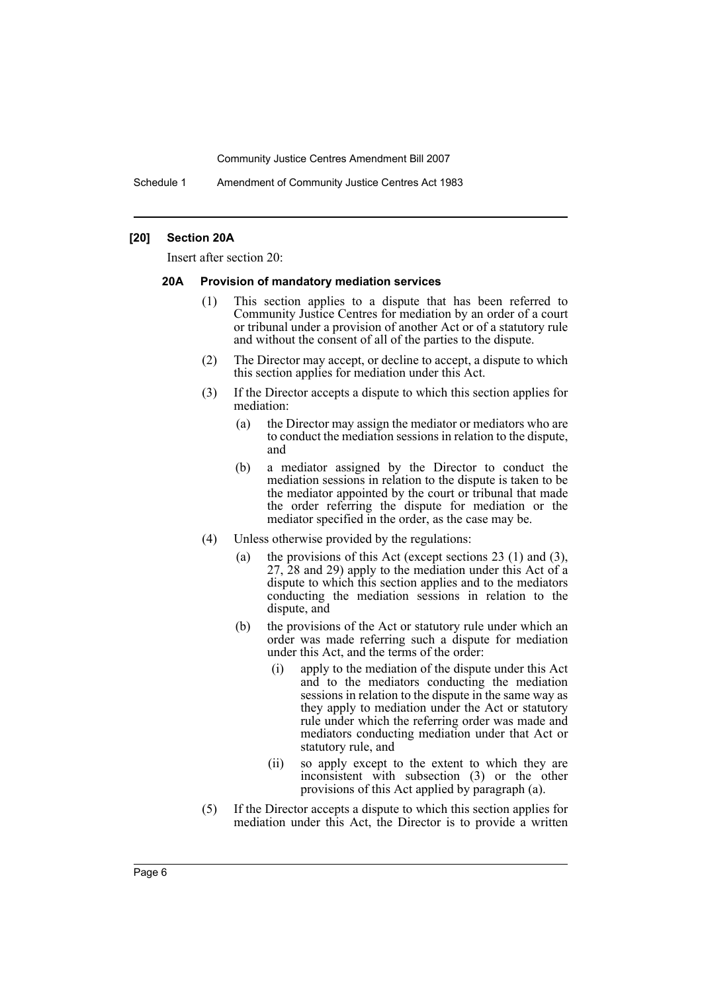Schedule 1 Amendment of Community Justice Centres Act 1983

#### **[20] Section 20A**

Insert after section 20:

#### **20A Provision of mandatory mediation services**

- (1) This section applies to a dispute that has been referred to Community Justice Centres for mediation by an order of a court or tribunal under a provision of another Act or of a statutory rule and without the consent of all of the parties to the dispute.
- (2) The Director may accept, or decline to accept, a dispute to which this section applies for mediation under this Act.
- (3) If the Director accepts a dispute to which this section applies for mediation:
	- (a) the Director may assign the mediator or mediators who are to conduct the mediation sessions in relation to the dispute, and
	- (b) a mediator assigned by the Director to conduct the mediation sessions in relation to the dispute is taken to be the mediator appointed by the court or tribunal that made the order referring the dispute for mediation or the mediator specified in the order, as the case may be.
- (4) Unless otherwise provided by the regulations:
	- (a) the provisions of this Act (except sections 23 (1) and (3), 27, 28 and 29) apply to the mediation under this Act of a dispute to which this section applies and to the mediators conducting the mediation sessions in relation to the dispute, and
	- (b) the provisions of the Act or statutory rule under which an order was made referring such a dispute for mediation under this Act, and the terms of the order:
		- (i) apply to the mediation of the dispute under this Act and to the mediators conducting the mediation sessions in relation to the dispute in the same way as they apply to mediation under the Act or statutory rule under which the referring order was made and mediators conducting mediation under that Act or statutory rule, and
		- (ii) so apply except to the extent to which they are inconsistent with subsection (3) or the other provisions of this Act applied by paragraph (a).
- (5) If the Director accepts a dispute to which this section applies for mediation under this Act, the Director is to provide a written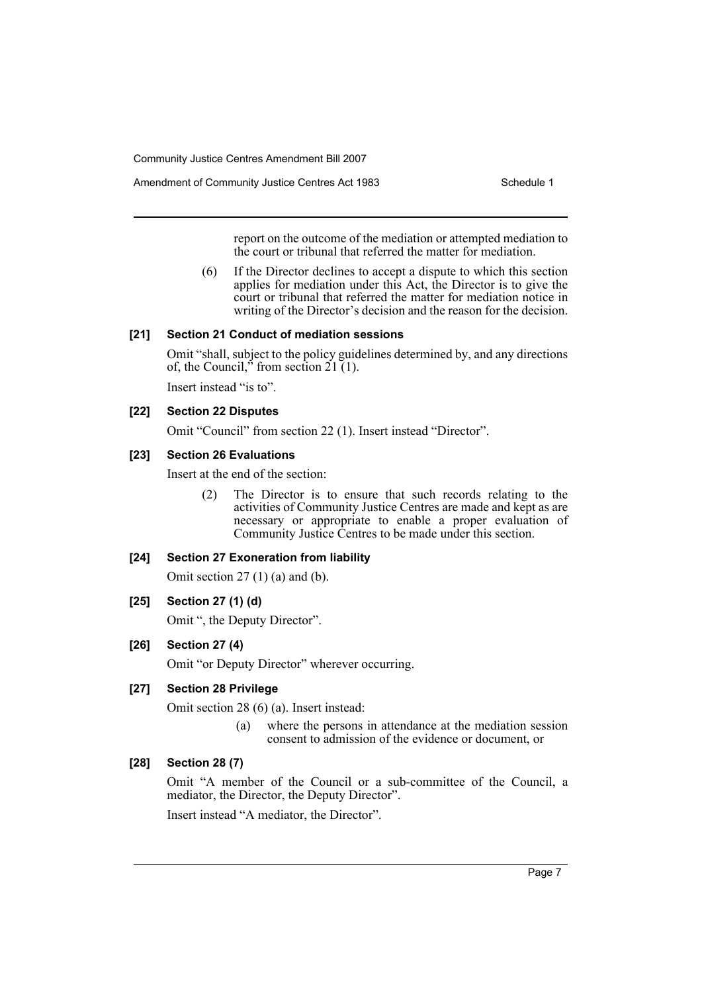Amendment of Community Justice Centres Act 1983 Schedule 1

report on the outcome of the mediation or attempted mediation to the court or tribunal that referred the matter for mediation.

(6) If the Director declines to accept a dispute to which this section applies for mediation under this Act, the Director is to give the court or tribunal that referred the matter for mediation notice in writing of the Director's decision and the reason for the decision.

### **[21] Section 21 Conduct of mediation sessions**

Omit "shall, subject to the policy guidelines determined by, and any directions of, the Council," from section  $21(1)$ .

Insert instead "is to".

# **[22] Section 22 Disputes**

Omit "Council" from section 22 (1). Insert instead "Director".

### **[23] Section 26 Evaluations**

Insert at the end of the section:

(2) The Director is to ensure that such records relating to the activities of Community Justice Centres are made and kept as are necessary or appropriate to enable a proper evaluation of Community Justice Centres to be made under this section.

#### **[24] Section 27 Exoneration from liability**

Omit section  $27(1)(a)$  and  $(b)$ .

# **[25] Section 27 (1) (d)**

Omit ", the Deputy Director".

# **[26] Section 27 (4)**

Omit "or Deputy Director" wherever occurring.

#### **[27] Section 28 Privilege**

Omit section 28 (6) (a). Insert instead:

(a) where the persons in attendance at the mediation session consent to admission of the evidence or document, or

# **[28] Section 28 (7)**

Omit "A member of the Council or a sub-committee of the Council, a mediator, the Director, the Deputy Director".

Insert instead "A mediator, the Director".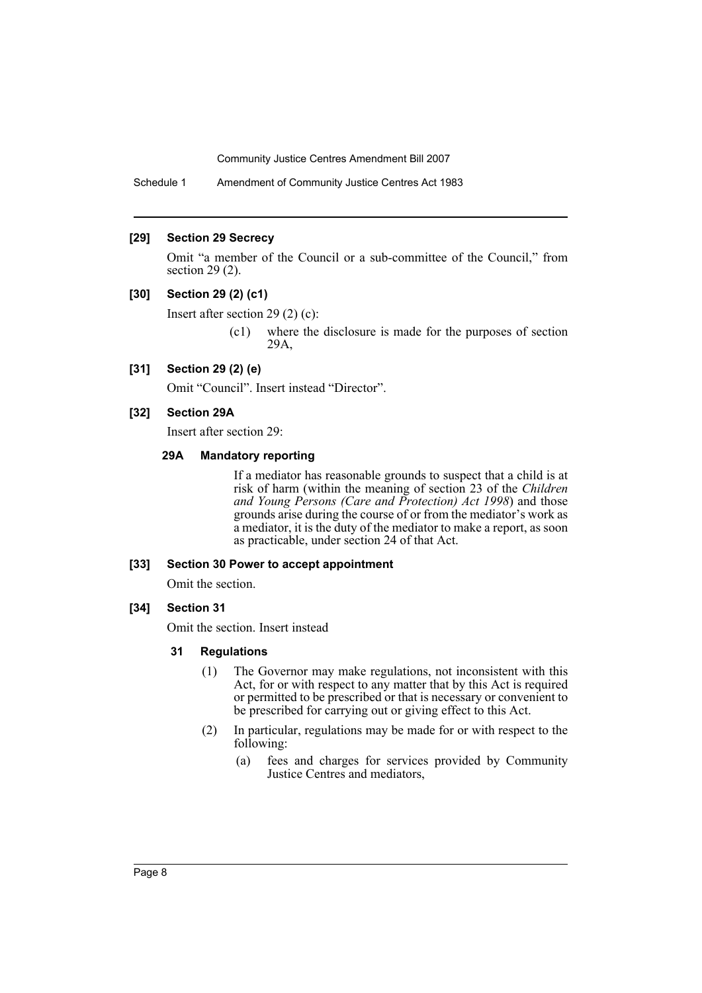Schedule 1 Amendment of Community Justice Centres Act 1983

#### **[29] Section 29 Secrecy**

Omit "a member of the Council or a sub-committee of the Council," from section 29 (2).

### **[30] Section 29 (2) (c1)**

Insert after section 29 (2) (c):

(c1) where the disclosure is made for the purposes of section 29A,

#### **[31] Section 29 (2) (e)**

Omit "Council". Insert instead "Director".

#### **[32] Section 29A**

Insert after section 29:

#### **29A Mandatory reporting**

If a mediator has reasonable grounds to suspect that a child is at risk of harm (within the meaning of section 23 of the *Children and Young Persons (Care and Protection) Act 1998*) and those grounds arise during the course of or from the mediator's work as a mediator, it is the duty of the mediator to make a report, as soon as practicable, under section 24 of that Act.

#### **[33] Section 30 Power to accept appointment**

Omit the section.

#### **[34] Section 31**

Omit the section. Insert instead

#### **31 Regulations**

- (1) The Governor may make regulations, not inconsistent with this Act, for or with respect to any matter that by this Act is required or permitted to be prescribed or that is necessary or convenient to be prescribed for carrying out or giving effect to this Act.
- (2) In particular, regulations may be made for or with respect to the following:
	- (a) fees and charges for services provided by Community Justice Centres and mediators,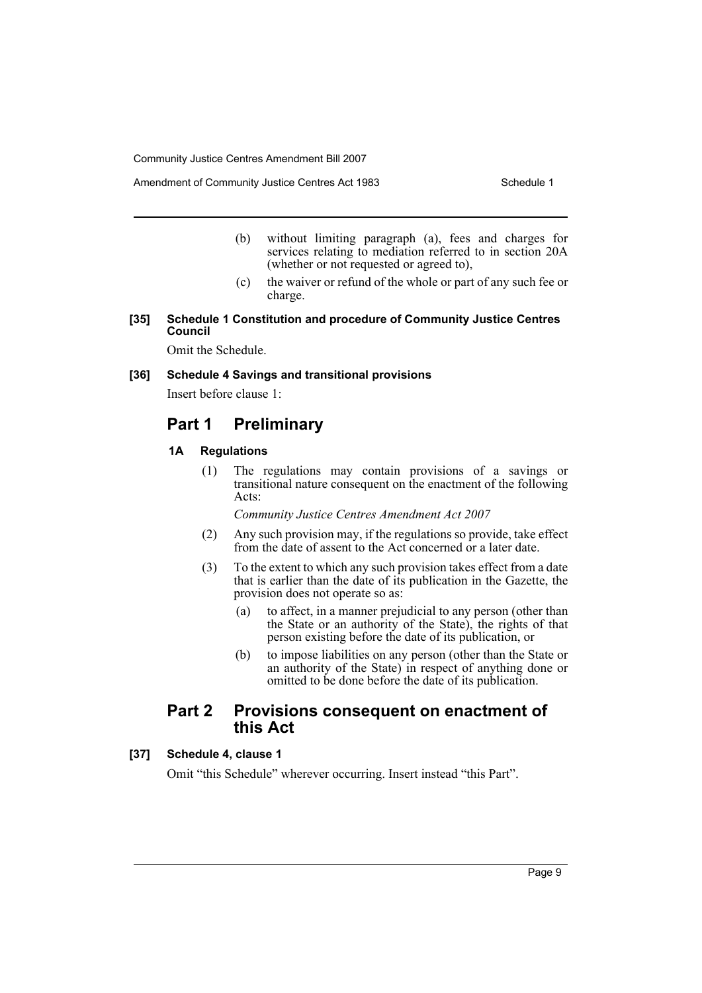Amendment of Community Justice Centres Act 1983 Schedule 1

- (b) without limiting paragraph (a), fees and charges for services relating to mediation referred to in section 20A (whether or not requested or agreed to),
- (c) the waiver or refund of the whole or part of any such fee or charge.

#### **[35] Schedule 1 Constitution and procedure of Community Justice Centres Council**

Omit the Schedule.

#### **[36] Schedule 4 Savings and transitional provisions**

Insert before clause 1:

# **Part 1 Preliminary**

### **1A Regulations**

(1) The regulations may contain provisions of a savings or transitional nature consequent on the enactment of the following Acts:

*Community Justice Centres Amendment Act 2007*

- (2) Any such provision may, if the regulations so provide, take effect from the date of assent to the Act concerned or a later date.
- (3) To the extent to which any such provision takes effect from a date that is earlier than the date of its publication in the Gazette, the provision does not operate so as:
	- (a) to affect, in a manner prejudicial to any person (other than the State or an authority of the State), the rights of that person existing before the date of its publication, or
	- (b) to impose liabilities on any person (other than the State or an authority of the State) in respect of anything done or omitted to be done before the date of its publication.

# **Part 2 Provisions consequent on enactment of this Act**

# **[37] Schedule 4, clause 1**

Omit "this Schedule" wherever occurring. Insert instead "this Part".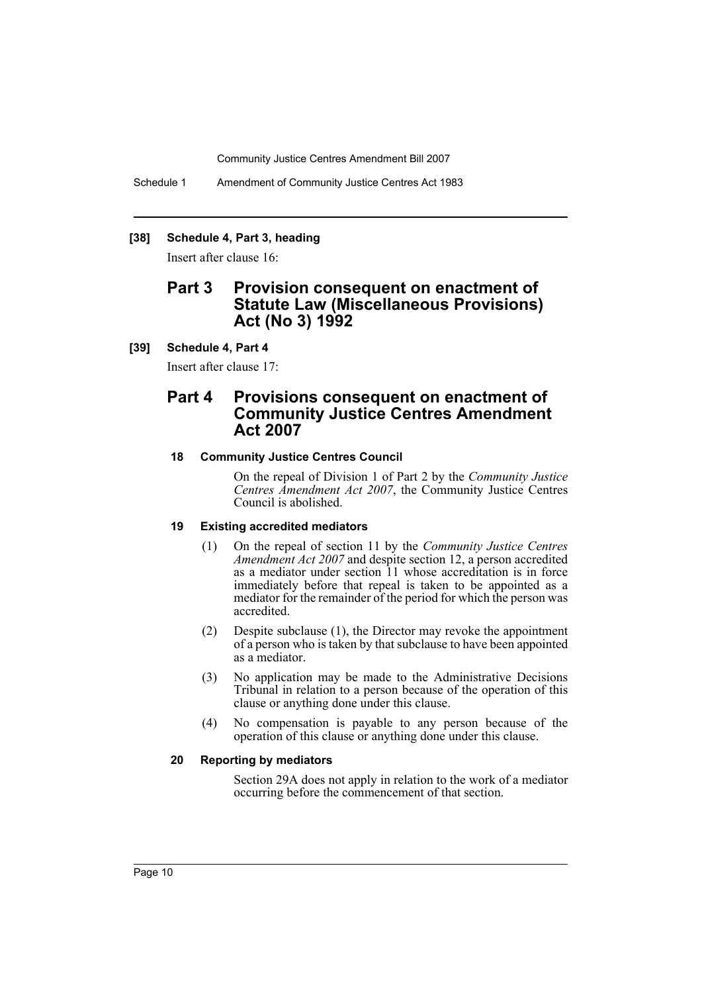Schedule 1 Amendment of Community Justice Centres Act 1983

#### **[38] Schedule 4, Part 3, heading**

Insert after clause 16:

# **Part 3 Provision consequent on enactment of Statute Law (Miscellaneous Provisions) Act (No 3) 1992**

# **[39] Schedule 4, Part 4**

Insert after clause 17:

# **Part 4 Provisions consequent on enactment of Community Justice Centres Amendment Act 2007**

# **18 Community Justice Centres Council**

On the repeal of Division 1 of Part 2 by the *Community Justice Centres Amendment Act 2007*, the Community Justice Centres Council is abolished.

#### **19 Existing accredited mediators**

- (1) On the repeal of section 11 by the *Community Justice Centres Amendment Act 2007* and despite section 12, a person accredited as a mediator under section 11 whose accreditation is in force immediately before that repeal is taken to be appointed as a mediator for the remainder of the period for which the person was accredited.
- (2) Despite subclause (1), the Director may revoke the appointment of a person who is taken by that subclause to have been appointed as a mediator.
- (3) No application may be made to the Administrative Decisions Tribunal in relation to a person because of the operation of this clause or anything done under this clause.
- (4) No compensation is payable to any person because of the operation of this clause or anything done under this clause.

#### **20 Reporting by mediators**

Section 29A does not apply in relation to the work of a mediator occurring before the commencement of that section.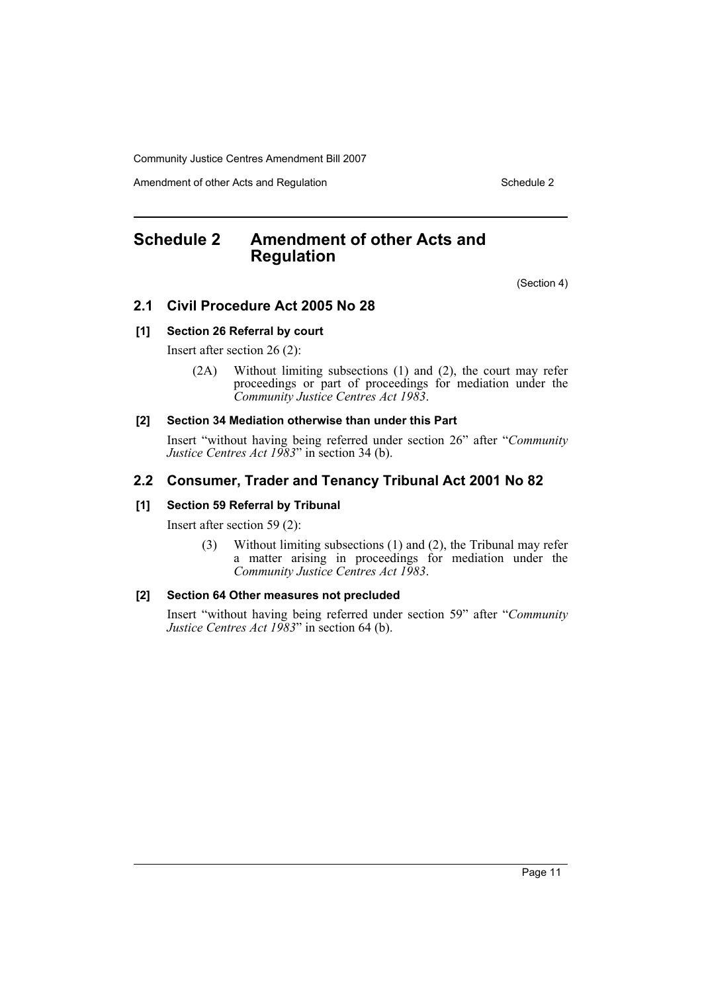Amendment of other Acts and Regulation Schedule 2

# <span id="page-11-0"></span>**Schedule 2 Amendment of other Acts and Regulation**

(Section 4)

# **2.1 Civil Procedure Act 2005 No 28**

# **[1] Section 26 Referral by court**

Insert after section 26 (2):

(2A) Without limiting subsections (1) and (2), the court may refer proceedings or part of proceedings for mediation under the *Community Justice Centres Act 1983*.

# **[2] Section 34 Mediation otherwise than under this Part**

Insert "without having being referred under section 26" after "*Community Justice Centres Act 1983*" in section 34 (b).

# **2.2 Consumer, Trader and Tenancy Tribunal Act 2001 No 82**

# **[1] Section 59 Referral by Tribunal**

Insert after section 59 (2):

(3) Without limiting subsections (1) and (2), the Tribunal may refer a matter arising in proceedings for mediation under the *Community Justice Centres Act 1983*.

# **[2] Section 64 Other measures not precluded**

Insert "without having being referred under section 59" after "*Community Justice Centres Act 1983*" in section 64 (b).